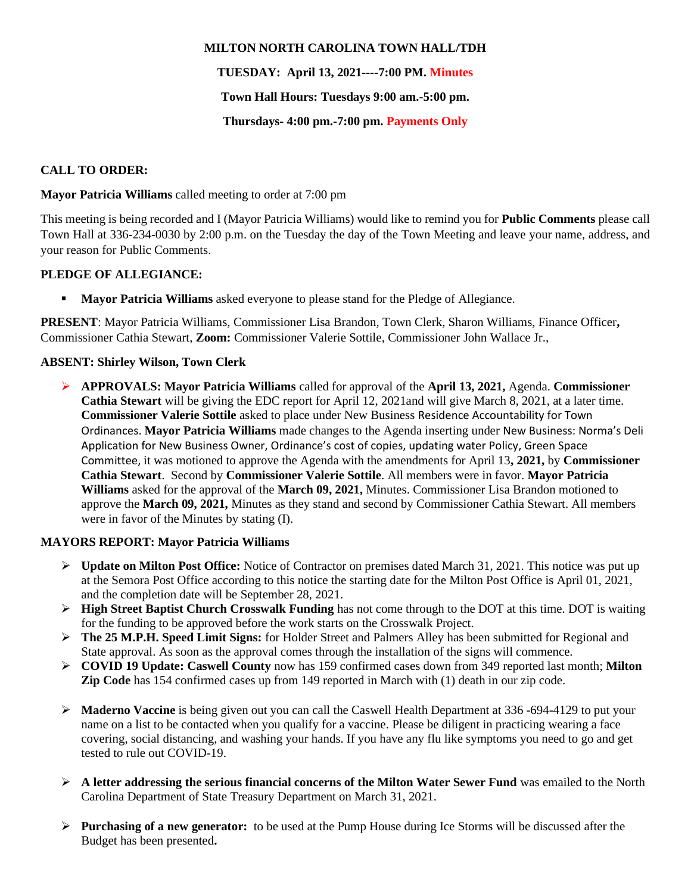#### **MILTON NORTH CAROLINA TOWN HALL/TDH**

## **TUESDAY: April 13, 2021----7:00 PM. Minutes**

### **Town Hall Hours: Tuesdays 9:00 am.-5:00 pm.**

## **Thursdays- 4:00 pm.-7:00 pm. Payments Only**

## **CALL TO ORDER:**

#### **Mayor Patricia Williams** called meeting to order at 7:00 pm

This meeting is being recorded and I (Mayor Patricia Williams) would like to remind you for **Public Comments** please call Town Hall at 336-234-0030 by 2:00 p.m. on the Tuesday the day of the Town Meeting and leave your name, address, and your reason for Public Comments.

## **PLEDGE OF ALLEGIANCE:**

▪ **Mayor Patricia Williams** asked everyone to please stand for the Pledge of Allegiance.

**PRESENT**: Mayor Patricia Williams, Commissioner Lisa Brandon, Town Clerk, Sharon Williams, Finance Officer**,**  Commissioner Cathia Stewart, **Zoom:** Commissioner Valerie Sottile, Commissioner John Wallace Jr.,

## **ABSENT: Shirley Wilson, Town Clerk**

➢ **APPROVALS: Mayor Patricia Williams** called for approval of the **April 13, 2021,** Agenda. **Commissioner Cathia Stewart** will be giving the EDC report for April 12, 2021and will give March 8, 2021, at a later time. **Commissioner Valerie Sottile** asked to place under New Business Residence Accountability for Town Ordinances. **Mayor Patricia Williams** made changes to the Agenda inserting under New Business: Norma's Deli Application for New Business Owner, Ordinance's cost of copies, updating water Policy, Green Space Committee, it was motioned to approve the Agenda with the amendments for April 13**, 2021,** by **Commissioner Cathia Stewart**. Second by **Commissioner Valerie Sottile**. All members were in favor. **Mayor Patricia Williams** asked for the approval of the **March 09, 2021,** Minutes. Commissioner Lisa Brandon motioned to approve the **March 09, 2021,** Minutes as they stand and second by Commissioner Cathia Stewart. All members were in favor of the Minutes by stating (I).

#### **MAYORS REPORT: Mayor Patricia Williams**

- ➢ **Update on Milton Post Office:** Notice of Contractor on premises dated March 31, 2021. This notice was put up at the Semora Post Office according to this notice the starting date for the Milton Post Office is April 01, 2021, and the completion date will be September 28, 2021.
- ➢ **High Street Baptist Church Crosswalk Funding** has not come through to the DOT at this time. DOT is waiting for the funding to be approved before the work starts on the Crosswalk Project.
- ➢ **The 25 M.P.H. Speed Limit Signs:** for Holder Street and Palmers Alley has been submitted for Regional and State approval. As soon as the approval comes through the installation of the signs will commence.
- ➢ **COVID 19 Update: Caswell County** now has 159 confirmed cases down from 349 reported last month; **Milton Zip Code** has 154 confirmed cases up from 149 reported in March with (1) death in our zip code.
- ➢ **Maderno Vaccine** is being given out you can call the Caswell Health Department at 336 -694-4129 to put your name on a list to be contacted when you qualify for a vaccine. Please be diligent in practicing wearing a face covering, social distancing, and washing your hands. If you have any flu like symptoms you need to go and get tested to rule out COVID-19.
- ➢ **A letter addressing the serious financial concerns of the Milton Water Sewer Fund** was emailed to the North Carolina Department of State Treasury Department on March 31, 2021.
- ➢ **Purchasing of a new generator:** to be used at the Pump House during Ice Storms will be discussed after the Budget has been presented**.**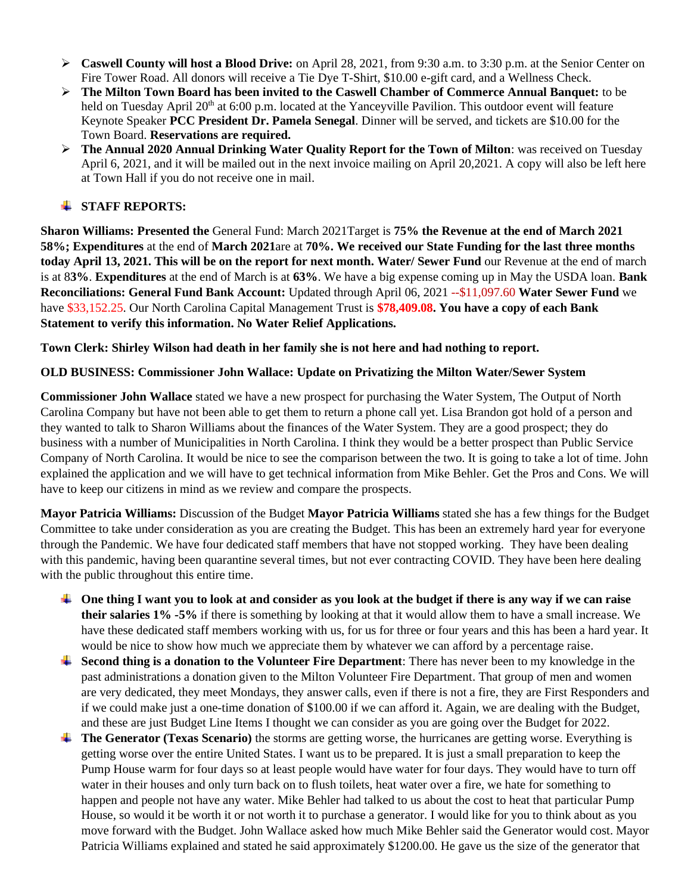- ➢ **Caswell County will host a Blood Drive:** on April 28, 2021, from 9:30 a.m. to 3:30 p.m. at the Senior Center on Fire Tower Road. All donors will receive a Tie Dye T-Shirt, \$10.00 e-gift card, and a Wellness Check.
- ➢ **The Milton Town Board has been invited to the Caswell Chamber of Commerce Annual Banquet:** to be held on Tuesday April 20<sup>th</sup> at 6:00 p.m. located at the Yanceyville Pavilion. This outdoor event will feature Keynote Speaker **PCC President Dr. Pamela Senegal**. Dinner will be served, and tickets are \$10.00 for the Town Board. **Reservations are required.**
- ➢ **The Annual 2020 Annual Drinking Water Quality Report for the Town of Milton**: was received on Tuesday April 6, 2021, and it will be mailed out in the next invoice mailing on April 20,2021. A copy will also be left here at Town Hall if you do not receive one in mail.

# **STAFF REPORTS:**

**Sharon Williams: Presented the** General Fund: March 2021Target is **75% the Revenue at the end of March 2021 58%; Expenditures** at the end of **March 2021**are at **70%. We received our State Funding for the last three months today April 13, 2021. This will be on the report for next month. Water/ Sewer Fund** our Revenue at the end of march is at 8**3%**. **Expenditures** at the end of March is at **63%**. We have a big expense coming up in May the USDA loan. **Bank Reconciliations: General Fund Bank Account:** Updated through April 06, 2021 --\$11,097.60 **Water Sewer Fund** we have \$33,152.25. Our North Carolina Capital Management Trust is **\$78,409.08. You have a copy of each Bank Statement to verify this information. No Water Relief Applications.** 

**Town Clerk: Shirley Wilson had death in her family she is not here and had nothing to report.**

# **OLD BUSINESS: Commissioner John Wallace: Update on Privatizing the Milton Water/Sewer System**

**Commissioner John Wallace** stated we have a new prospect for purchasing the Water System, The Output of North Carolina Company but have not been able to get them to return a phone call yet. Lisa Brandon got hold of a person and they wanted to talk to Sharon Williams about the finances of the Water System. They are a good prospect; they do business with a number of Municipalities in North Carolina. I think they would be a better prospect than Public Service Company of North Carolina. It would be nice to see the comparison between the two. It is going to take a lot of time. John explained the application and we will have to get technical information from Mike Behler. Get the Pros and Cons. We will have to keep our citizens in mind as we review and compare the prospects.

**Mayor Patricia Williams:** Discussion of the Budget **Mayor Patricia Williams** stated she has a few things for the Budget Committee to take under consideration as you are creating the Budget. This has been an extremely hard year for everyone through the Pandemic. We have four dedicated staff members that have not stopped working. They have been dealing with this pandemic, having been quarantine several times, but not ever contracting COVID. They have been here dealing with the public throughout this entire time.

- **One thing I want you to look at and consider as you look at the budget if there is any way if we can raise their salaries 1% -5%** if there is something by looking at that it would allow them to have a small increase. We have these dedicated staff members working with us, for us for three or four years and this has been a hard year. It would be nice to show how much we appreciate them by whatever we can afford by a percentage raise.
- **Second thing is a donation to the Volunteer Fire Department**: There has never been to my knowledge in the past administrations a donation given to the Milton Volunteer Fire Department. That group of men and women are very dedicated, they meet Mondays, they answer calls, even if there is not a fire, they are First Responders and if we could make just a one-time donation of \$100.00 if we can afford it. Again, we are dealing with the Budget, and these are just Budget Line Items I thought we can consider as you are going over the Budget for 2022.
- **The Generator (Texas Scenario)** the storms are getting worse, the hurricanes are getting worse. Everything is getting worse over the entire United States. I want us to be prepared. It is just a small preparation to keep the Pump House warm for four days so at least people would have water for four days. They would have to turn off water in their houses and only turn back on to flush toilets, heat water over a fire, we hate for something to happen and people not have any water. Mike Behler had talked to us about the cost to heat that particular Pump House, so would it be worth it or not worth it to purchase a generator. I would like for you to think about as you move forward with the Budget. John Wallace asked how much Mike Behler said the Generator would cost. Mayor Patricia Williams explained and stated he said approximately \$1200.00. He gave us the size of the generator that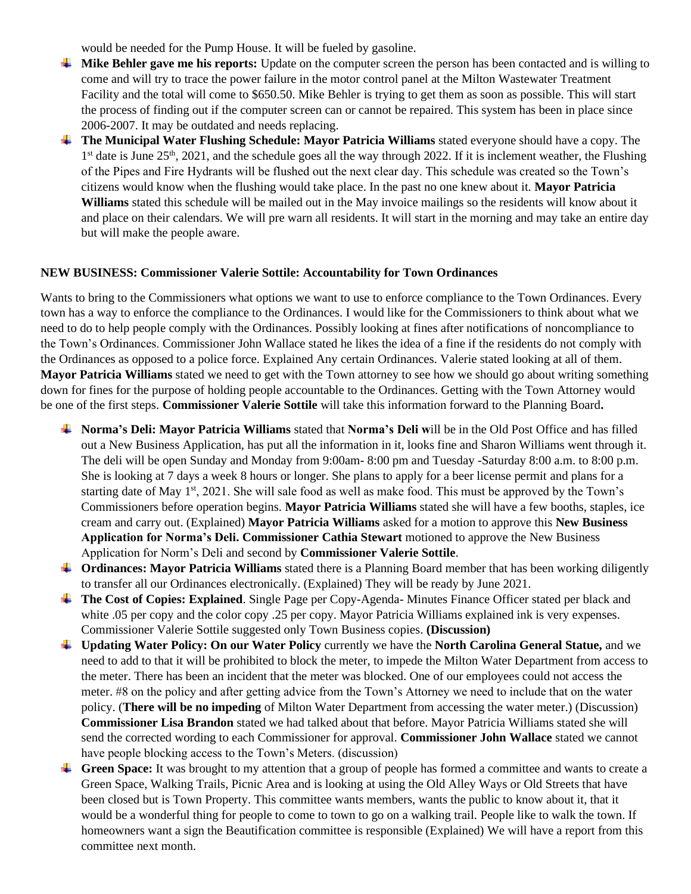would be needed for the Pump House. It will be fueled by gasoline.

- **Mike Behler gave me his reports:** Update on the computer screen the person has been contacted and is willing to come and will try to trace the power failure in the motor control panel at the Milton Wastewater Treatment Facility and the total will come to \$650.50. Mike Behler is trying to get them as soon as possible. This will start the process of finding out if the computer screen can or cannot be repaired. This system has been in place since 2006-2007. It may be outdated and needs replacing.
- **The Municipal Water Flushing Schedule: Mayor Patricia Williams** stated everyone should have a copy. The 1<sup>st</sup> date is June 25<sup>th</sup>, 2021, and the schedule goes all the way through 2022. If it is inclement weather, the Flushing of the Pipes and Fire Hydrants will be flushed out the next clear day. This schedule was created so the Town's citizens would know when the flushing would take place. In the past no one knew about it. **Mayor Patricia Williams** stated this schedule will be mailed out in the May invoice mailings so the residents will know about it and place on their calendars. We will pre warn all residents. It will start in the morning and may take an entire day but will make the people aware.

#### **NEW BUSINESS: Commissioner Valerie Sottile: Accountability for Town Ordinances**

Wants to bring to the Commissioners what options we want to use to enforce compliance to the Town Ordinances. Every town has a way to enforce the compliance to the Ordinances. I would like for the Commissioners to think about what we need to do to help people comply with the Ordinances. Possibly looking at fines after notifications of noncompliance to the Town's Ordinances. Commissioner John Wallace stated he likes the idea of a fine if the residents do not comply with the Ordinances as opposed to a police force. Explained Any certain Ordinances. Valerie stated looking at all of them. **Mayor Patricia Williams** stated we need to get with the Town attorney to see how we should go about writing something down for fines for the purpose of holding people accountable to the Ordinances. Getting with the Town Attorney would be one of the first steps. **Commissioner Valerie Sottile** will take this information forward to the Planning Board**.**

- **Norma's Deli: Mayor Patricia Williams** stated that **Norma's Deli w**ill be in the Old Post Office and has filled out a New Business Application, has put all the information in it, looks fine and Sharon Williams went through it. The deli will be open Sunday and Monday from 9:00am- 8:00 pm and Tuesday -Saturday 8:00 a.m. to 8:00 p.m. She is looking at 7 days a week 8 hours or longer. She plans to apply for a beer license permit and plans for a starting date of May  $1<sup>st</sup>$ , 2021. She will sale food as well as make food. This must be approved by the Town's Commissioners before operation begins. **Mayor Patricia Williams** stated she will have a few booths, staples, ice cream and carry out. (Explained) **Mayor Patricia Williams** asked for a motion to approve this **New Business Application for Norma's Deli. Commissioner Cathia Stewart** motioned to approve the New Business Application for Norm's Deli and second by **Commissioner Valerie Sottile**.
- **Criation**: **Mayor Patricia Williams** stated there is a Planning Board member that has been working diligently to transfer all our Ordinances electronically. (Explained) They will be ready by June 2021.
- **The Cost of Copies: Explained**. Single Page per Copy-Agenda- Minutes Finance Officer stated per black and white .05 per copy and the color copy .25 per copy. Mayor Patricia Williams explained ink is very expenses. Commissioner Valerie Sottile suggested only Town Business copies. **(Discussion)**
- **Updating Water Policy: On our Water Policy** currently we have the **North Carolina General Statue,** and we need to add to that it will be prohibited to block the meter, to impede the Milton Water Department from access to the meter. There has been an incident that the meter was blocked. One of our employees could not access the meter. #8 on the policy and after getting advice from the Town's Attorney we need to include that on the water policy. (**There will be no impeding** of Milton Water Department from accessing the water meter.) (Discussion) **Commissioner Lisa Brandon** stated we had talked about that before. Mayor Patricia Williams stated she will send the corrected wording to each Commissioner for approval. **Commissioner John Wallace** stated we cannot have people blocking access to the Town's Meters. (discussion)
- Green Space: It was brought to my attention that a group of people has formed a committee and wants to create a Green Space, Walking Trails, Picnic Area and is looking at using the Old Alley Ways or Old Streets that have been closed but is Town Property. This committee wants members, wants the public to know about it, that it would be a wonderful thing for people to come to town to go on a walking trail. People like to walk the town. If homeowners want a sign the Beautification committee is responsible (Explained) We will have a report from this committee next month.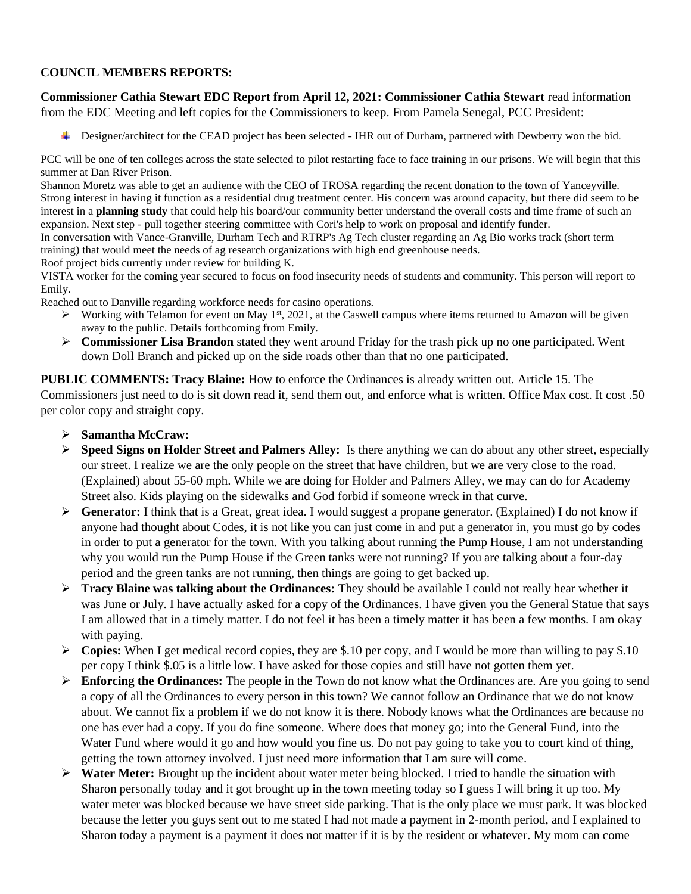## **COUNCIL MEMBERS REPORTS:**

**Commissioner Cathia Stewart EDC Report from April 12, 2021: Commissioner Cathia Stewart** read information from the EDC Meeting and left copies for the Commissioners to keep. From Pamela Senegal, PCC President:

**Example 2** Designer/architect for the CEAD project has been selected - IHR out of Durham, partnered with Dewberry won the bid.

PCC will be one of ten colleges across the state selected to pilot restarting face to face training in our prisons. We will begin that this summer at Dan River Prison.

Shannon Moretz was able to get an audience with the CEO of TROSA regarding the recent donation to the town of Yanceyville. Strong interest in having it function as a residential drug treatment center. His concern was around capacity, but there did seem to be interest in a **planning study** that could help his board/our community better understand the overall costs and time frame of such an expansion. Next step - pull together steering committee with Cori's help to work on proposal and identify funder.

In conversation with Vance-Granville, Durham Tech and RTRP's Ag Tech cluster regarding an Ag Bio works track (short term training) that would meet the needs of ag research organizations with high end greenhouse needs.

Roof project bids currently under review for building K.

VISTA worker for the coming year secured to focus on food insecurity needs of students and community. This person will report to Emily.

Reached out to Danville regarding workforce needs for casino operations.

- $\triangleright$  Working with Telamon for event on May 1<sup>st</sup>, 2021, at the Caswell campus where items returned to Amazon will be given away to the public. Details forthcoming from Emily.
- ➢ **Commissioner Lisa Brandon** stated they went around Friday for the trash pick up no one participated. Went down Doll Branch and picked up on the side roads other than that no one participated.

**PUBLIC COMMENTS: Tracy Blaine:** How to enforce the Ordinances is already written out. Article 15. The Commissioners just need to do is sit down read it, send them out, and enforce what is written. Office Max cost. It cost .50 per color copy and straight copy.

- ➢ **Samantha McCraw:**
- ➢ **Speed Signs on Holder Street and Palmers Alley:** Is there anything we can do about any other street, especially our street. I realize we are the only people on the street that have children, but we are very close to the road. (Explained) about 55-60 mph. While we are doing for Holder and Palmers Alley, we may can do for Academy Street also. Kids playing on the sidewalks and God forbid if someone wreck in that curve.
- ➢ **Generator:** I think that is a Great, great idea. I would suggest a propane generator. (Explained) I do not know if anyone had thought about Codes, it is not like you can just come in and put a generator in, you must go by codes in order to put a generator for the town. With you talking about running the Pump House, I am not understanding why you would run the Pump House if the Green tanks were not running? If you are talking about a four-day period and the green tanks are not running, then things are going to get backed up.
- ➢ **Tracy Blaine was talking about the Ordinances:** They should be available I could not really hear whether it was June or July. I have actually asked for a copy of the Ordinances. I have given you the General Statue that says I am allowed that in a timely matter. I do not feel it has been a timely matter it has been a few months. I am okay with paying.
- ➢ **Copies:** When I get medical record copies, they are \$.10 per copy, and I would be more than willing to pay \$.10 per copy I think \$.05 is a little low. I have asked for those copies and still have not gotten them yet.
- ➢ **Enforcing the Ordinances:** The people in the Town do not know what the Ordinances are. Are you going to send a copy of all the Ordinances to every person in this town? We cannot follow an Ordinance that we do not know about. We cannot fix a problem if we do not know it is there. Nobody knows what the Ordinances are because no one has ever had a copy. If you do fine someone. Where does that money go; into the General Fund, into the Water Fund where would it go and how would you fine us. Do not pay going to take you to court kind of thing, getting the town attorney involved. I just need more information that I am sure will come.
- ➢ **Water Meter:** Brought up the incident about water meter being blocked. I tried to handle the situation with Sharon personally today and it got brought up in the town meeting today so I guess I will bring it up too. My water meter was blocked because we have street side parking. That is the only place we must park. It was blocked because the letter you guys sent out to me stated I had not made a payment in 2-month period, and I explained to Sharon today a payment is a payment it does not matter if it is by the resident or whatever. My mom can come